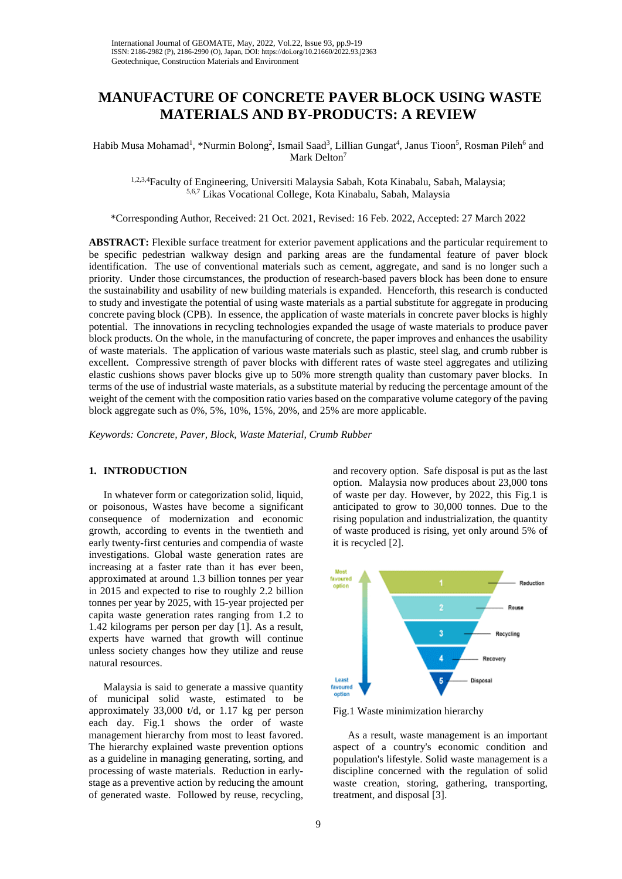# **MANUFACTURE OF CONCRETE PAVER BLOCK USING WASTE MATERIALS AND BY-PRODUCTS: A REVIEW**

Habib Musa Mohamad<sup>1</sup>, \*Nurmin Bolong<sup>2</sup>, Ismail Saad<sup>3</sup>, Lillian Gungat<sup>4</sup>, Janus Tioon<sup>5</sup>, Rosman Pileh<sup>6</sup> and Mark Delton<sup>7</sup>

<sup>1,2,3,4</sup>Faculty of Engineering, Universiti Malaysia Sabah, Kota Kinabalu, Sabah, Malaysia;<br><sup>5,6,7</sup> Likas Vocational College, Kota Kinabalu, Sabah, Malaysia

\*Corresponding Author, Received: 21 Oct. 2021, Revised: 16 Feb. 2022, Accepted: 27 March 2022

**ABSTRACT:** Flexible surface treatment for exterior pavement applications and the particular requirement to be specific pedestrian walkway design and parking areas are the fundamental feature of paver block identification. The use of conventional materials such as cement, aggregate, and sand is no longer such a priority. Under those circumstances, the production of research-based pavers block has been done to ensure the sustainability and usability of new building materials is expanded. Henceforth, this research is conducted to study and investigate the potential of using waste materials as a partial substitute for aggregate in producing concrete paving block (CPB). In essence, the application of waste materials in concrete paver blocks is highly potential. The innovations in recycling technologies expanded the usage of waste materials to produce paver block products. On the whole, in the manufacturing of concrete, the paper improves and enhances the usability of waste materials. The application of various waste materials such as plastic, steel slag, and crumb rubber is excellent. Compressive strength of paver blocks with different rates of waste steel aggregates and utilizing elastic cushions shows paver blocks give up to 50% more strength quality than customary paver blocks. In terms of the use of industrial waste materials, as a substitute material by reducing the percentage amount of the weight of the cement with the composition ratio varies based on the comparative volume category of the paving block aggregate such as 0%, 5%, 10%, 15%, 20%, and 25% are more applicable.

*Keywords: Concrete, Paver, Block, Waste Material, Crumb Rubber*

## **1. INTRODUCTION**

In whatever form or categorization solid, liquid, or poisonous, Wastes have become a significant consequence of modernization and economic growth, according to events in the twentieth and early twenty-first centuries and compendia of waste investigations. Global waste generation rates are increasing at a faster rate than it has ever been, approximated at around 1.3 billion tonnes per year in 2015 and expected to rise to roughly 2.2 billion tonnes per year by 2025, with 15-year projected per capita waste generation rates ranging from 1.2 to 1.42 kilograms per person per day [1]. As a result, experts have warned that growth will continue unless society changes how they utilize and reuse natural resources.

Malaysia is said to generate a massive quantity of municipal solid waste, estimated to be approximately 33,000 t/d, or 1.17 kg per person each day. Fig.1 shows the order of waste management hierarchy from most to least favored. The hierarchy explained waste prevention options as a guideline in managing generating, sorting, and processing of waste materials. Reduction in earlystage as a preventive action by reducing the amount of generated waste. Followed by reuse, recycling,

and recovery option. Safe disposal is put as the last option. Malaysia now produces about 23,000 tons of waste per day. However, by 2022, this Fig.1 is anticipated to grow to 30,000 tonnes. Due to the rising population and industrialization, the quantity of waste produced is rising, yet only around 5% of it is recycled [2].



Fig.1 Waste minimization hierarchy

As a result, waste management is an important aspect of a country's economic condition and population's lifestyle. Solid waste management is a discipline concerned with the regulation of solid waste creation, storing, gathering, transporting, treatment, and disposal [3].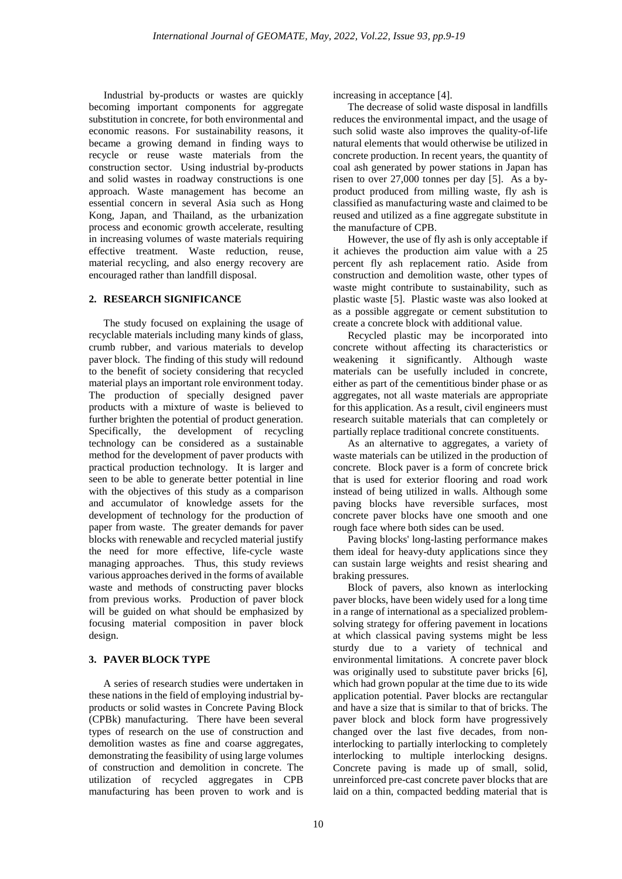Industrial by-products or wastes are quickly becoming important components for aggregate substitution in concrete, for both environmental and economic reasons. For sustainability reasons, it became a growing demand in finding ways to recycle or reuse waste materials from the construction sector. Using industrial by-products and solid wastes in roadway constructions is one approach. Waste management has become an essential concern in several Asia such as Hong Kong, Japan, and Thailand, as the urbanization process and economic growth accelerate, resulting in increasing volumes of waste materials requiring effective treatment. Waste reduction, reuse, material recycling, and also energy recovery are encouraged rather than landfill disposal.

## **2. RESEARCH SIGNIFICANCE**

The study focused on explaining the usage of recyclable materials including many kinds of glass, crumb rubber, and various materials to develop paver block. The finding of this study will redound to the benefit of society considering that recycled material plays an important role environment today. The production of specially designed paver products with a mixture of waste is believed to further brighten the potential of product generation. Specifically, the development of recycling technology can be considered as a sustainable method for the development of paver products with practical production technology. It is larger and seen to be able to generate better potential in line with the objectives of this study as a comparison and accumulator of knowledge assets for the development of technology for the production of paper from waste. The greater demands for paver blocks with renewable and recycled material justify the need for more effective, life-cycle waste managing approaches. Thus, this study reviews various approaches derived in the forms of available waste and methods of constructing paver blocks from previous works. Production of paver block will be guided on what should be emphasized by focusing material composition in paver block design.

#### **3. PAVER BLOCK TYPE**

A series of research studies were undertaken in these nations in the field of employing industrial byproducts or solid wastes in Concrete Paving Block (CPBk) manufacturing. There have been several types of research on the use of construction and demolition wastes as fine and coarse aggregates, demonstrating the feasibility of using large volumes of construction and demolition in concrete. The utilization of recycled aggregates in CPB manufacturing has been proven to work and is

increasing in acceptance [4].

The decrease of solid waste disposal in landfills reduces the environmental impact, and the usage of such solid waste also improves the quality-of-life natural elements that would otherwise be utilized in concrete production. In recent years, the quantity of coal ash generated by power stations in Japan has risen to over 27,000 tonnes per day [5]. As a byproduct produced from milling waste, fly ash is classified as manufacturing waste and claimed to be reused and utilized as a fine aggregate substitute in the manufacture of CPB.

However, the use of fly ash is only acceptable if it achieves the production aim value with a 25 percent fly ash replacement ratio. Aside from construction and demolition waste, other types of waste might contribute to sustainability, such as plastic waste [5]. Plastic waste was also looked at as a possible aggregate or cement substitution to create a concrete block with additional value.

Recycled plastic may be incorporated into concrete without affecting its characteristics or weakening it significantly. Although waste materials can be usefully included in concrete, either as part of the cementitious binder phase or as aggregates, not all waste materials are appropriate for this application. As a result, civil engineers must research suitable materials that can completely or partially replace traditional concrete constituents.

As an alternative to aggregates, a variety of waste materials can be utilized in the production of concrete. Block paver is a form of concrete brick that is used for exterior flooring and road work instead of being utilized in walls. Although some paving blocks have reversible surfaces, most concrete paver blocks have one smooth and one rough face where both sides can be used.

Paving blocks' long-lasting performance makes them ideal for heavy-duty applications since they can sustain large weights and resist shearing and braking pressures.

Block of pavers, also known as interlocking paver blocks, have been widely used for a long time in a range of international as a specialized problemsolving strategy for offering pavement in locations at which classical paving systems might be less sturdy due to a variety of technical and environmental limitations. A concrete paver block was originally used to substitute paver bricks [6], which had grown popular at the time due to its wide application potential. Paver blocks are rectangular and have a size that is similar to that of bricks. The paver block and block form have progressively changed over the last five decades, from noninterlocking to partially interlocking to completely interlocking to multiple interlocking designs. Concrete paving is made up of small, solid, unreinforced pre-cast concrete paver blocks that are laid on a thin, compacted bedding material that is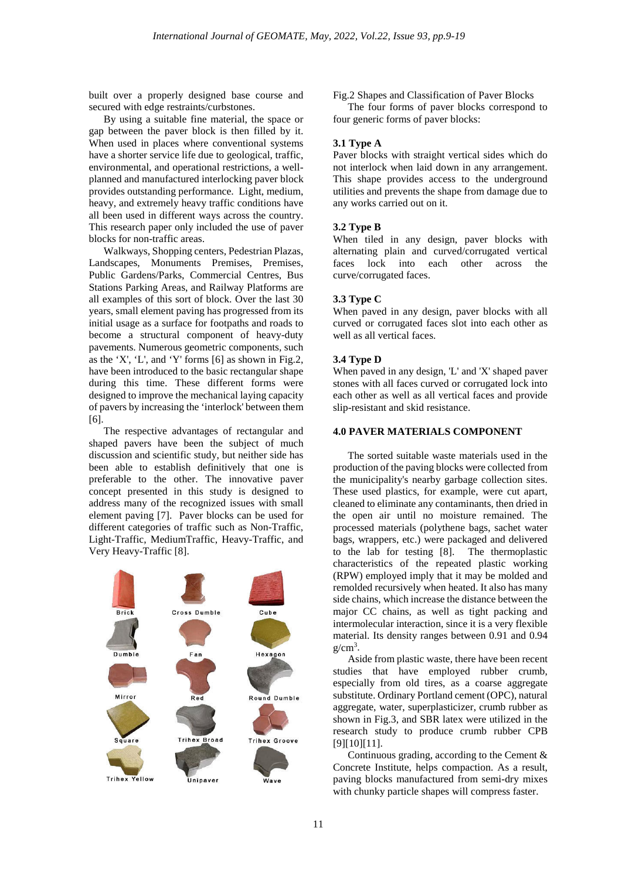built over a properly designed base course and secured with edge restraints/curbstones.

By using a suitable fine material, the space or gap between the paver block is then filled by it. When used in places where conventional systems have a shorter service life due to geological, traffic, environmental, and operational restrictions, a wellplanned and manufactured interlocking paver block provides outstanding performance. Light, medium, heavy, and extremely heavy traffic conditions have all been used in different ways across the country. This research paper only included the use of paver blocks for non-traffic areas.

Walkways, Shopping centers, Pedestrian Plazas, Landscapes, Monuments Premises, Premises, Public Gardens/Parks, Commercial Centres, Bus Stations Parking Areas, and Railway Platforms are all examples of this sort of block. Over the last 30 years, small element paving has progressed from its initial usage as a surface for footpaths and roads to become a structural component of heavy-duty pavements. Numerous geometric components, such as the 'X', 'L', and 'Y' forms [6] as shown in Fig.2, have been introduced to the basic rectangular shape during this time. These different forms were designed to improve the mechanical laying capacity of pavers by increasing the 'interlock' between them [6].

The respective advantages of rectangular and shaped pavers have been the subject of much discussion and scientific study, but neither side has been able to establish definitively that one is preferable to the other. The innovative paver concept presented in this study is designed to address many of the recognized issues with small element paving [7]. Paver blocks can be used for different categories of traffic such as Non-Traffic, Light-Traffic, MediumTraffic, Heavy-Traffic, and Very Heavy-Traffic [8].



Fig.2 Shapes and Classification of Paver Blocks

The four forms of paver blocks correspond to four generic forms of paver blocks:

# **3.1 Type A**

Paver blocks with straight vertical sides which do not interlock when laid down in any arrangement. This shape provides access to the underground utilities and prevents the shape from damage due to any works carried out on it.

#### **3.2 Type B**

When tiled in any design, paver blocks with alternating plain and curved/corrugated vertical faces lock into each other across the curve/corrugated faces.

#### **3.3 Type C**

When paved in any design, paver blocks with all curved or corrugated faces slot into each other as well as all vertical faces.

#### **3.4 Type D**

When paved in any design, 'L' and 'X' shaped paver stones with all faces curved or corrugated lock into each other as well as all vertical faces and provide slip-resistant and skid resistance.

## **4.0 PAVER MATERIALS COMPONENT**

The sorted suitable waste materials used in the production of the paving blocks were collected from the municipality's nearby garbage collection sites. These used plastics, for example, were cut apart, cleaned to eliminate any contaminants, then dried in the open air until no moisture remained. The processed materials (polythene bags, sachet water bags, wrappers, etc.) were packaged and delivered to the lab for testing [8]. The thermoplastic characteristics of the repeated plastic working (RPW) employed imply that it may be molded and remolded recursively when heated. It also has many side chains, which increase the distance between the major CC chains, as well as tight packing and intermolecular interaction, since it is a very flexible material. Its density ranges between 0.91 and 0.94  $g/cm<sup>3</sup>$ .

Aside from plastic waste, there have been recent studies that have employed rubber crumb, especially from old tires, as a coarse aggregate substitute. Ordinary Portland cement (OPC), natural aggregate, water, superplasticizer, crumb rubber as shown in Fig.3, and SBR latex were utilized in the research study to produce crumb rubber CPB [9][10][11].

Continuous grading, according to the Cement & Concrete Institute, helps compaction. As a result, paving blocks manufactured from semi-dry mixes with chunky particle shapes will compress faster.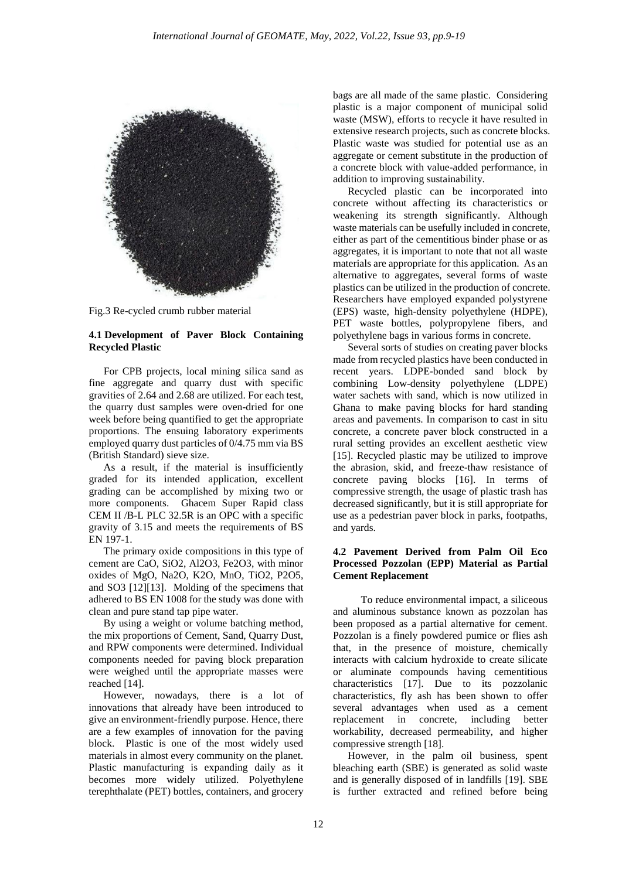

Fig.3 Re-cycled crumb rubber material

## **4.1 Development of Paver Block Containing Recycled Plastic**

For CPB projects, local mining silica sand as fine aggregate and quarry dust with specific gravities of 2.64 and 2.68 are utilized. For each test, the quarry dust samples were oven-dried for one week before being quantified to get the appropriate proportions. The ensuing laboratory experiments employed quarry dust particles of 0/4.75 mm via BS (British Standard) sieve size.

As a result, if the material is insufficiently graded for its intended application, excellent grading can be accomplished by mixing two or more components. Ghacem Super Rapid class CEM II /B-L PLC 32.5R is an OPC with a specific gravity of 3.15 and meets the requirements of BS EN 197-1.

The primary oxide compositions in this type of cement are CaO, SiO2, Al2O3, Fe2O3, with minor oxides of MgO, Na2O, K2O, MnO, TiO2, P2O5, and SO3 [12][13]. Molding of the specimens that adhered to BS EN 1008 for the study was done with clean and pure stand tap pipe water.

By using a weight or volume batching method, the mix proportions of Cement, Sand, Quarry Dust, and RPW components were determined. Individual components needed for paving block preparation were weighed until the appropriate masses were reached [14].

However, nowadays, there is a lot of innovations that already have been introduced to give an environment-friendly purpose. Hence, there are a few examples of innovation for the paving block. Plastic is one of the most widely used materials in almost every community on the planet. Plastic manufacturing is expanding daily as it becomes more widely utilized. Polyethylene terephthalate (PET) bottles, containers, and grocery

bags are all made of the same plastic. Considering plastic is a major component of municipal solid waste (MSW), efforts to recycle it have resulted in extensive research projects, such as concrete blocks. Plastic waste was studied for potential use as an aggregate or cement substitute in the production of a concrete block with value-added performance, in addition to improving sustainability.

Recycled plastic can be incorporated into concrete without affecting its characteristics or weakening its strength significantly. Although waste materials can be usefully included in concrete, either as part of the cementitious binder phase or as aggregates, it is important to note that not all waste materials are appropriate for this application. As an alternative to aggregates, several forms of waste plastics can be utilized in the production of concrete. Researchers have employed expanded polystyrene (EPS) waste, high-density polyethylene (HDPE), PET waste bottles, polypropylene fibers, and polyethylene bags in various forms in concrete.

Several sorts of studies on creating paver blocks made from recycled plastics have been conducted in recent years. LDPE-bonded sand block by combining Low-density polyethylene (LDPE) water sachets with sand, which is now utilized in Ghana to make paving blocks for hard standing areas and pavements. In comparison to cast in situ concrete, a concrete paver block constructed in a rural setting provides an excellent aesthetic view [15]. Recycled plastic may be utilized to improve the abrasion, skid, and freeze-thaw resistance of concrete paving blocks [16]. In terms of compressive strength, the usage of plastic trash has decreased significantly, but it is still appropriate for use as a pedestrian paver block in parks, footpaths, and yards.

## **4.2 Pavement Derived from Palm Oil Eco Processed Pozzolan (EPP) Material as Partial Cement Replacement**

 To reduce environmental impact, a siliceous and aluminous substance known as pozzolan has been proposed as a partial alternative for cement. Pozzolan is a finely powdered pumice or flies ash that, in the presence of moisture, chemically interacts with calcium hydroxide to create silicate or aluminate compounds having cementitious characteristics [17]. Due to its pozzolanic characteristics, fly ash has been shown to offer several advantages when used as a cement replacement in concrete, including better workability, decreased permeability, and higher compressive strength [18].

However, in the palm oil business, spent bleaching earth (SBE) is generated as solid waste and is generally disposed of in landfills [19]. SBE is further extracted and refined before being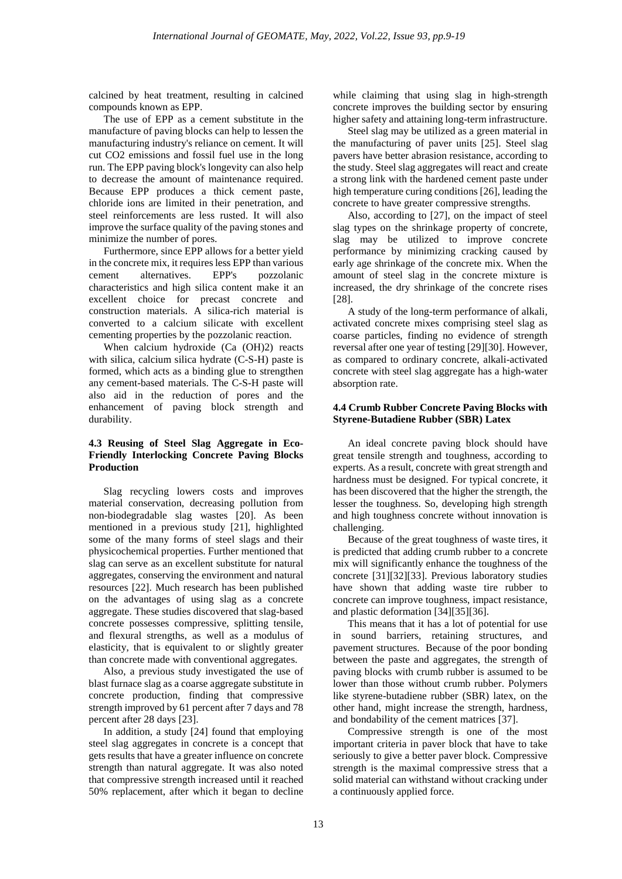calcined by heat treatment, resulting in calcined compounds known as EPP.

The use of EPP as a cement substitute in the manufacture of paving blocks can help to lessen the manufacturing industry's reliance on cement. It will cut CO2 emissions and fossil fuel use in the long run. The EPP paving block's longevity can also help to decrease the amount of maintenance required. Because EPP produces a thick cement paste, chloride ions are limited in their penetration, and steel reinforcements are less rusted. It will also improve the surface quality of the paving stones and minimize the number of pores.

Furthermore, since EPP allows for a better yield in the concrete mix, it requires less EPP than various cement alternatives. EPP's pozzolanic characteristics and high silica content make it an excellent choice for precast concrete and construction materials. A silica-rich material is converted to a calcium silicate with excellent cementing properties by the pozzolanic reaction.

When calcium hydroxide (Ca (OH)2) reacts with silica, calcium silica hydrate (C-S-H) paste is formed, which acts as a binding glue to strengthen any cement-based materials. The C-S-H paste will also aid in the reduction of pores and the enhancement of paving block strength and durability.

# **4.3 Reusing of Steel Slag Aggregate in Eco-Friendly Interlocking Concrete Paving Blocks Production**

Slag recycling lowers costs and improves material conservation, decreasing pollution from non-biodegradable slag wastes [20]. As been mentioned in a previous study [21], highlighted some of the many forms of steel slags and their physicochemical properties. Further mentioned that slag can serve as an excellent substitute for natural aggregates, conserving the environment and natural resources [22]. Much research has been published on the advantages of using slag as a concrete aggregate. These studies discovered that slag-based concrete possesses compressive, splitting tensile, and flexural strengths, as well as a modulus of elasticity, that is equivalent to or slightly greater than concrete made with conventional aggregates.

Also, a previous study investigated the use of blast furnace slag as a coarse aggregate substitute in concrete production, finding that compressive strength improved by 61 percent after 7 days and 78 percent after 28 days [23].

In addition, a study [24] found that employing steel slag aggregates in concrete is a concept that gets results that have a greater influence on concrete strength than natural aggregate. It was also noted that compressive strength increased until it reached 50% replacement, after which it began to decline

while claiming that using slag in high-strength concrete improves the building sector by ensuring higher safety and attaining long-term infrastructure.

Steel slag may be utilized as a green material in the manufacturing of paver units [25]. Steel slag pavers have better abrasion resistance, according to the study. Steel slag aggregates will react and create a strong link with the hardened cement paste under high temperature curing conditions [26], leading the concrete to have greater compressive strengths.

Also, according to [27], on the impact of steel slag types on the shrinkage property of concrete, slag may be utilized to improve concrete performance by minimizing cracking caused by early age shrinkage of the concrete mix. When the amount of steel slag in the concrete mixture is increased, the dry shrinkage of the concrete rises [28].

A study of the long-term performance of alkali, activated concrete mixes comprising steel slag as coarse particles, finding no evidence of strength reversal after one year of testing [29][30]. However, as compared to ordinary concrete, alkali-activated concrete with steel slag aggregate has a high-water absorption rate.

## **4.4 Crumb Rubber Concrete Paving Blocks with Styrene-Butadiene Rubber (SBR) Latex**

An ideal concrete paving block should have great tensile strength and toughness, according to experts. As a result, concrete with great strength and hardness must be designed. For typical concrete, it has been discovered that the higher the strength, the lesser the toughness. So, developing high strength and high toughness concrete without innovation is challenging.

Because of the great toughness of waste tires, it is predicted that adding crumb rubber to a concrete mix will significantly enhance the toughness of the concrete [31][32][33]. Previous laboratory studies have shown that adding waste tire rubber to concrete can improve toughness, impact resistance, and plastic deformation [34][35][36].

This means that it has a lot of potential for use in sound barriers, retaining structures, and pavement structures. Because of the poor bonding between the paste and aggregates, the strength of paving blocks with crumb rubber is assumed to be lower than those without crumb rubber. Polymers like styrene-butadiene rubber (SBR) latex, on the other hand, might increase the strength, hardness, and bondability of the cement matrices [37].

Compressive strength is one of the most important criteria in paver block that have to take seriously to give a better paver block. Compressive strength is the maximal compressive stress that a solid material can withstand without cracking under a continuously applied force.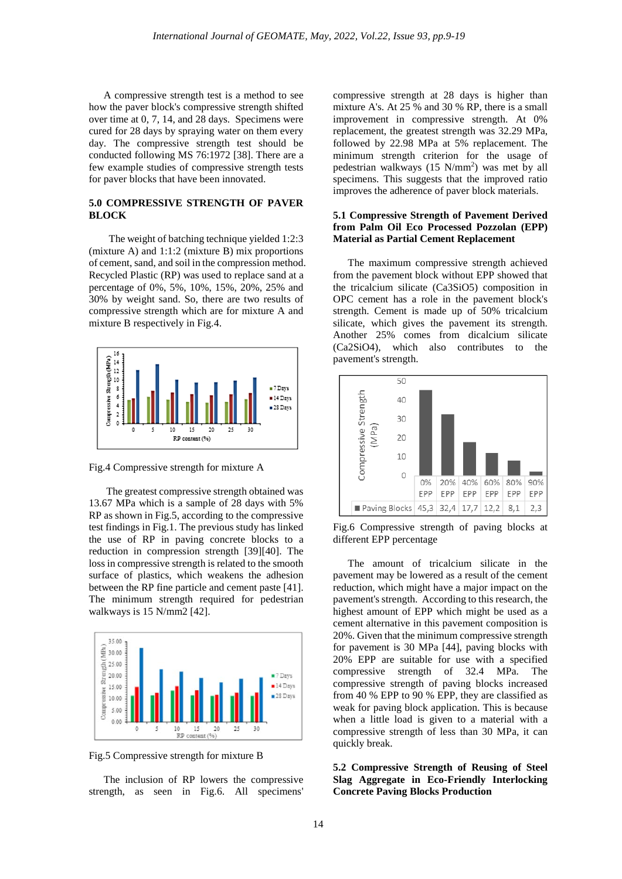A compressive strength test is a method to see how the paver block's compressive strength shifted over time at 0, 7, 14, and 28 days. Specimens were cured for 28 days by spraying water on them every day. The compressive strength test should be conducted following MS 76:1972 [38]. There are a few example studies of compressive strength tests for paver blocks that have been innovated.

### **5.0 COMPRESSIVE STRENGTH OF PAVER BLOCK**

 The weight of batching technique yielded 1:2:3 (mixture A) and 1:1:2 (mixture B) mix proportions of cement, sand, and soil in the compression method. Recycled Plastic (RP) was used to replace sand at a percentage of 0%, 5%, 10%, 15%, 20%, 25% and 30% by weight sand. So, there are two results of compressive strength which are for mixture A and mixture B respectively in Fig.4.



Fig.4 Compressive strength for mixture A

The greatest compressive strength obtained was 13.67 MPa which is a sample of 28 days with 5% RP as shown in Fig.5, according to the compressive test findings in Fig.1. The previous study has linked the use of RP in paving concrete blocks to a reduction in compression strength [39][40]. The loss in compressive strength is related to the smooth surface of plastics, which weakens the adhesion between the RP fine particle and cement paste [41]. The minimum strength required for pedestrian walkways is 15 N/mm2 [42].



Fig.5 Compressive strength for mixture B

The inclusion of RP lowers the compressive strength, as seen in Fig.6. All specimens'

compressive strength at 28 days is higher than mixture A's. At 25 % and 30 % RP, there is a small improvement in compressive strength. At 0% replacement, the greatest strength was 32.29 MPa, followed by 22.98 MPa at 5% replacement. The minimum strength criterion for the usage of pedestrian walkways (15 N/mm2 ) was met by all specimens. This suggests that the improved ratio improves the adherence of paver block materials.

## **5.1 Compressive Strength of Pavement Derived from Palm Oil Eco Processed Pozzolan (EPP) Material as Partial Cement Replacement**

The maximum compressive strength achieved from the pavement block without EPP showed that the tricalcium silicate (Ca3SiO5) composition in OPC cement has a role in the pavement block's strength. Cement is made up of 50% tricalcium silicate, which gives the pavement its strength. Another 25% comes from dicalcium silicate (Ca2SiO4), which also contributes to the pavement's strength.



Fig.6 Compressive strength of paving blocks at different EPP percentage

The amount of tricalcium silicate in the pavement may be lowered as a result of the cement reduction, which might have a major impact on the pavement's strength. According to this research, the highest amount of EPP which might be used as a cement alternative in this pavement composition is 20%. Given that the minimum compressive strength for pavement is 30 MPa [44], paving blocks with 20% EPP are suitable for use with a specified compressive strength of 32.4 MPa. The compressive strength of paving blocks increased from 40 % EPP to 90 % EPP, they are classified as weak for paving block application. This is because when a little load is given to a material with a compressive strength of less than 30 MPa, it can quickly break.

**5.2 Compressive Strength of Reusing of Steel Slag Aggregate in Eco-Friendly Interlocking Concrete Paving Blocks Production**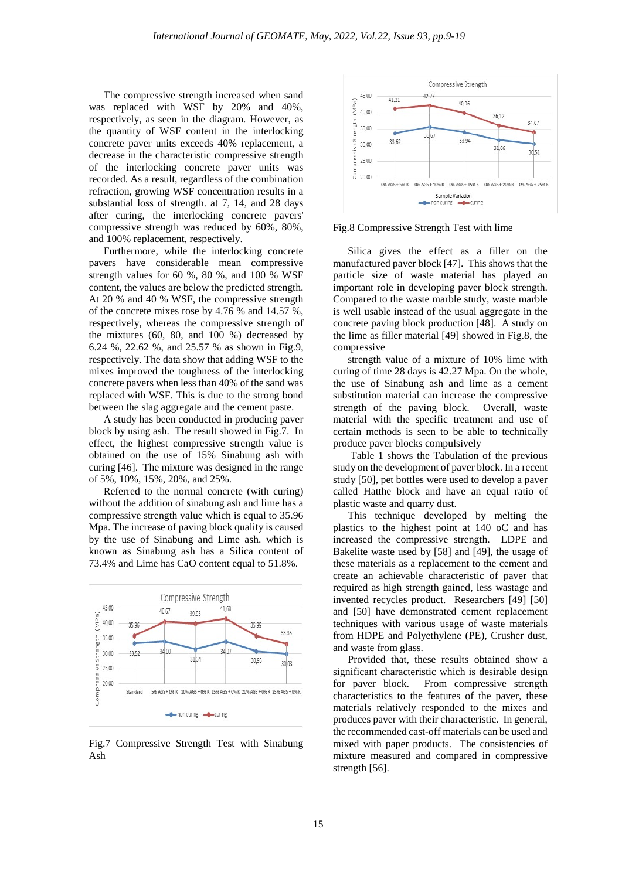The compressive strength increased when sand was replaced with WSF by 20% and 40%, respectively, as seen in the diagram. However, as the quantity of WSF content in the interlocking concrete paver units exceeds 40% replacement, a decrease in the characteristic compressive strength of the interlocking concrete paver units was recorded. As a result, regardless of the combination refraction, growing WSF concentration results in a substantial loss of strength. at 7, 14, and 28 days after curing, the interlocking concrete pavers' compressive strength was reduced by 60%, 80%, and 100% replacement, respectively.

Furthermore, while the interlocking concrete pavers have considerable mean compressive strength values for 60 %, 80 %, and 100 % WSF content, the values are below the predicted strength. At 20 % and 40 % WSF, the compressive strength of the concrete mixes rose by 4.76 % and 14.57 %, respectively, whereas the compressive strength of the mixtures (60, 80, and 100 %) decreased by 6.24 %, 22.62 %, and 25.57 % as shown in Fig.9, respectively. The data show that adding WSF to the mixes improved the toughness of the interlocking concrete pavers when less than 40% of the sand was replaced with WSF. This is due to the strong bond between the slag aggregate and the cement paste.

A study has been conducted in producing paver block by using ash. The result showed in Fig.7. In effect, the highest compressive strength value is obtained on the use of 15% Sinabung ash with curing [46]. The mixture was designed in the range of 5%, 10%, 15%, 20%, and 25%.

Referred to the normal concrete (with curing) without the addition of sinabung ash and lime has a compressive strength value which is equal to 35.96 Mpa. The increase of paving block quality is caused by the use of Sinabung and Lime ash. which is known as Sinabung ash has a Silica content of 73.4% and Lime has CaO content equal to 51.8%.



Fig.7 Compressive Strength Test with Sinabung Ash



Fig.8 Compressive Strength Test with lime

Silica gives the effect as a filler on the manufactured paver block [47]. This shows that the particle size of waste material has played an important role in developing paver block strength. Compared to the waste marble study, waste marble is well usable instead of the usual aggregate in the concrete paving block production [48]. A study on the lime as filler material [49] showed in Fig.8, the compressive

strength value of a mixture of 10% lime with curing of time 28 days is 42.27 Mpa. On the whole, the use of Sinabung ash and lime as a cement substitution material can increase the compressive strength of the paving block. Overall, waste material with the specific treatment and use of certain methods is seen to be able to technically produce paver blocks compulsively

Table 1 shows the Tabulation of the previous study on the development of paver block. In a recent study [50], pet bottles were used to develop a paver called Hatthe block and have an equal ratio of plastic waste and quarry dust.

This technique developed by melting the plastics to the highest point at 140 oC and has increased the compressive strength. LDPE and Bakelite waste used by [58] and [49], the usage of these materials as a replacement to the cement and create an achievable characteristic of paver that required as high strength gained, less wastage and invented recycles product. Researchers [49] [50] and [50] have demonstrated cement replacement techniques with various usage of waste materials from HDPE and Polyethylene (PE), Crusher dust, and waste from glass.

Provided that, these results obtained show a significant characteristic which is desirable design for paver block. From compressive strength characteristics to the features of the paver, these materials relatively responded to the mixes and produces paver with their characteristic. In general, the recommended cast-off materials can be used and mixed with paper products. The consistencies of mixture measured and compared in compressive strength [56].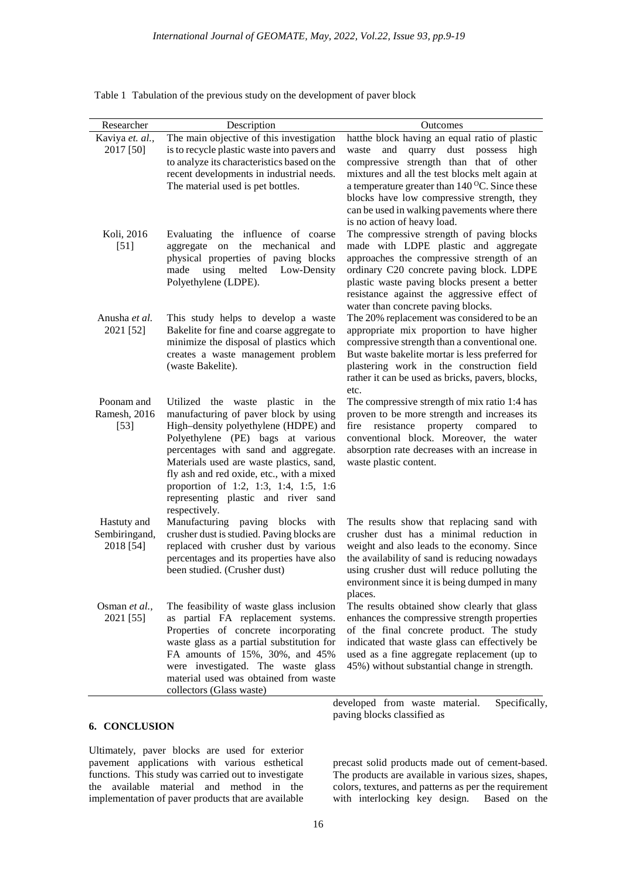| Researcher      | Description                                                                        | Outcomes                                                                                     |
|-----------------|------------------------------------------------------------------------------------|----------------------------------------------------------------------------------------------|
| Kaviya et. al., | The main objective of this investigation                                           | hatthe block having an equal ratio of plastic                                                |
| 2017 [50]       | is to recycle plastic waste into pavers and                                        | quarry dust possess high<br>and<br>waste                                                     |
|                 | to analyze its characteristics based on the                                        | compressive strength than that of other                                                      |
|                 | recent developments in industrial needs.                                           | mixtures and all the test blocks melt again at                                               |
|                 | The material used is pet bottles.                                                  | a temperature greater than $140^{\circ}$ C. Since these                                      |
|                 |                                                                                    | blocks have low compressive strength, they                                                   |
|                 |                                                                                    | can be used in walking pavements where there<br>is no action of heavy load.                  |
| Koli, 2016      | Evaluating the influence of coarse                                                 | The compressive strength of paving blocks                                                    |
| $[51]$          | the mechanical and<br>aggregate on                                                 | made with LDPE plastic and aggregate                                                         |
|                 | physical properties of paving blocks                                               | approaches the compressive strength of an                                                    |
|                 | using<br>melted Low-Density<br>made                                                | ordinary C20 concrete paving block. LDPE                                                     |
|                 | Polyethylene (LDPE).                                                               | plastic waste paving blocks present a better                                                 |
|                 |                                                                                    | resistance against the aggressive effect of                                                  |
|                 |                                                                                    | water than concrete paving blocks.                                                           |
| Anusha et al.   | This study helps to develop a waste                                                | The 20% replacement was considered to be an                                                  |
| 2021 [52]       | Bakelite for fine and coarse aggregate to                                          | appropriate mix proportion to have higher                                                    |
|                 | minimize the disposal of plastics which                                            | compressive strength than a conventional one.                                                |
|                 | creates a waste management problem<br>(waste Bakelite).                            | But waste bakelite mortar is less preferred for<br>plastering work in the construction field |
|                 |                                                                                    | rather it can be used as bricks, pavers, blocks,                                             |
|                 |                                                                                    | etc.                                                                                         |
| Poonam and      | Utilized the waste plastic in the                                                  | The compressive strength of mix ratio 1:4 has                                                |
| Ramesh, 2016    | manufacturing of paver block by using                                              | proven to be more strength and increases its                                                 |
| $[53]$          | High-density polyethylene (HDPE) and                                               | property compared<br>fire<br>resistance<br>to                                                |
|                 | Polyethylene (PE) bags at various                                                  | conventional block. Moreover, the water                                                      |
|                 | percentages with sand and aggregate.                                               | absorption rate decreases with an increase in                                                |
|                 | Materials used are waste plastics, sand,                                           | waste plastic content.                                                                       |
|                 | fly ash and red oxide, etc., with a mixed<br>proportion of 1:2, 1:3, 1:4, 1:5, 1:6 |                                                                                              |
|                 | representing plastic and river sand                                                |                                                                                              |
|                 | respectively.                                                                      |                                                                                              |
| Hastuty and     | Manufacturing<br>paving blocks with                                                | The results show that replacing sand with                                                    |
| Sembiringand,   | crusher dust is studied. Paving blocks are                                         | crusher dust has a minimal reduction in                                                      |
| 2018 [54]       | replaced with crusher dust by various                                              | weight and also leads to the economy. Since                                                  |
|                 | percentages and its properties have also                                           | the availability of sand is reducing nowadays                                                |
|                 | been studied. (Crusher dust)                                                       | using crusher dust will reduce polluting the                                                 |
|                 |                                                                                    | environment since it is being dumped in many                                                 |
| Osman et al.,   | The feasibility of waste glass inclusion                                           | places.<br>The results obtained show clearly that glass                                      |
| 2021 [55]       | as partial FA replacement systems.                                                 | enhances the compressive strength properties                                                 |
|                 | Properties of concrete incorporating                                               | of the final concrete product. The study                                                     |
|                 | waste glass as a partial substitution for                                          | indicated that waste glass can effectively be                                                |
|                 | FA amounts of 15%, 30%, and 45%                                                    | used as a fine aggregate replacement (up to                                                  |
|                 | were investigated. The waste glass                                                 | 45%) without substantial change in strength.                                                 |
|                 | material used was obtained from waste                                              |                                                                                              |
|                 | collectors (Glass waste)                                                           |                                                                                              |

Table 1 Tabulation of the previous study on the development of paver block

# **6. CONCLUSION**

Ultimately, paver blocks are used for exterior pavement applications with various esthetical functions. This study was carried out to investigate the available material and method in the implementation of paver products that are available

developed from waste material. Specifically, paving blocks classified as

precast solid products made out of cement-based. The products are available in various sizes, shapes, colors, textures, and patterns as per the requirement with interlocking key design. Based on the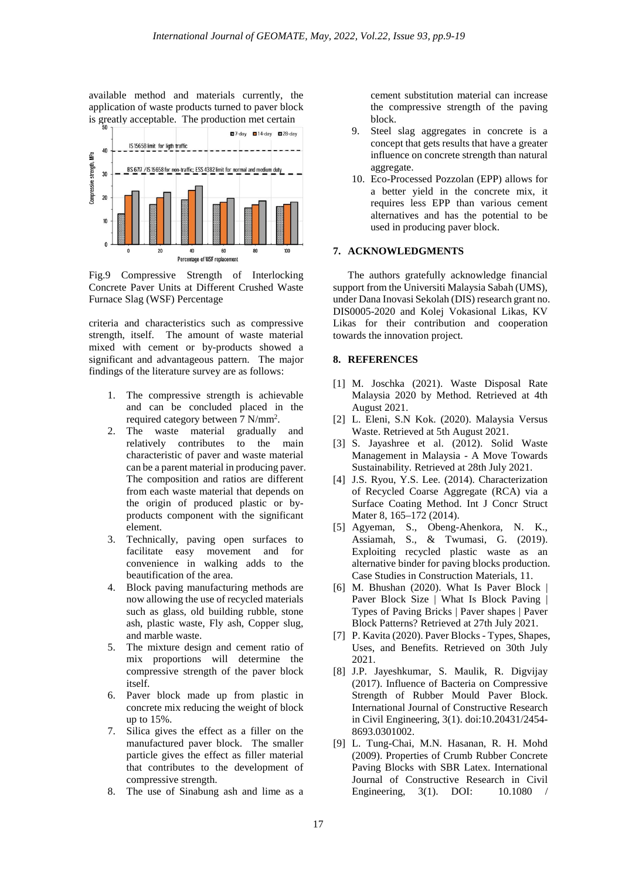available method and materials currently, the application of waste products turned to paver block is greatly acceptable. The production met certain



Fig.9 Compressive Strength of Interlocking Concrete Paver Units at Different Crushed Waste Furnace Slag (WSF) Percentage

criteria and characteristics such as compressive strength, itself. The amount of waste material mixed with cement or by-products showed a significant and advantageous pattern. The major findings of the literature survey are as follows:

- 1. The compressive strength is achievable and can be concluded placed in the required category between 7 N/mm<sup>2</sup>.
- 2. The waste material gradually and relatively contributes to the main characteristic of paver and waste material can be a parent material in producing paver. The composition and ratios are different from each waste material that depends on the origin of produced plastic or byproducts component with the significant element.
- 3. Technically, paving open surfaces to facilitate easy movement and for convenience in walking adds to the beautification of the area.
- 4. Block paving manufacturing methods are now allowing the use of recycled materials such as glass, old building rubble, stone ash, plastic waste, Fly ash, Copper slug, and marble waste.
- 5. The mixture design and cement ratio of mix proportions will determine the compressive strength of the paver block itself.
- 6. Paver block made up from plastic in concrete mix reducing the weight of block up to 15%.
- 7. Silica gives the effect as a filler on the manufactured paver block. The smaller particle gives the effect as filler material that contributes to the development of compressive strength.
- 8. The use of Sinabung ash and lime as a

cement substitution material can increase the compressive strength of the paving block.

- 9. Steel slag aggregates in concrete is a concept that gets results that have a greater influence on concrete strength than natural aggregate.
- 10. Eco-Processed Pozzolan (EPP) allows for a better yield in the concrete mix, it requires less EPP than various cement alternatives and has the potential to be used in producing paver block.

#### **7. ACKNOWLEDGMENTS**

The authors gratefully acknowledge financial support from the Universiti Malaysia Sabah (UMS), under Dana Inovasi Sekolah (DIS) research grant no. DIS0005-2020 and Kolej Vokasional Likas, KV Likas for their contribution and cooperation towards the innovation project.

#### **8. REFERENCES**

- [1] M. Joschka (2021). Waste Disposal Rate Malaysia 2020 by Method. Retrieved at 4th August 2021.
- [2] L. Eleni, S.N Kok. (2020). Malaysia Versus Waste. Retrieved at 5th August 2021.
- [3] S. Jayashree et al. (2012). Solid Waste Management in Malaysia - A Move Towards Sustainability. Retrieved at 28th July 2021.
- [4] J.S. Ryou, Y.S. Lee. (2014). Characterization of Recycled Coarse Aggregate (RCA) via a Surface Coating Method. Int J Concr Struct Mater 8, 165–172 (2014).
- [5] Agyeman, S., Obeng-Ahenkora, N. K., Assiamah, S., & Twumasi, G. (2019). Exploiting recycled plastic waste as an alternative binder for paving blocks production. Case Studies in Construction Materials, 11.
- [6] M. Bhushan (2020). What Is Paver Block | Paver Block Size | What Is Block Paving | Types of Paving Bricks | Paver shapes | Paver Block Patterns? Retrieved at 27th July 2021.
- [7] P. Kavita (2020). Paver Blocks Types, Shapes, Uses, and Benefits. Retrieved on 30th July 2021.
- [8] J.P. Jayeshkumar, S. Maulik, R. Digvijay (2017). Influence of Bacteria on Compressive Strength of Rubber Mould Paver Block. International Journal of Constructive Research in Civil Engineering, 3(1). doi:10.20431/2454- 8693.0301002.
- [9] L. Tung-Chai, M.N. Hasanan, R. H. Mohd (2009). Properties of Crumb Rubber Concrete Paving Blocks with SBR Latex. International Journal of Constructive Research in Civil Engineering, 3(1). DOI: 10.1080 /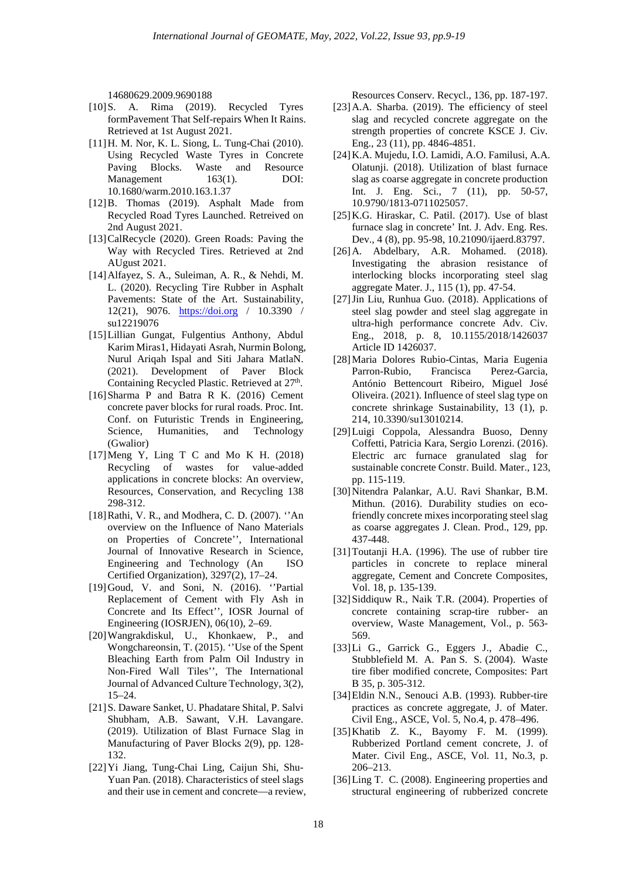14680629.2009.9690188

- [10]S. A. Rima (2019). Recycled Tyres formPavement That Self-repairs When It Rains. Retrieved at 1st August 2021.
- [11]H. M. Nor, K. L. Siong, L. Tung-Chai (2010). Using Recycled Waste Tyres in Concrete Paving Blocks. Waste and Resource<br>Management 163(1). DOI: Management 10.1680/warm.2010.163.1.37
- [12]B. Thomas (2019). Asphalt Made from Recycled Road Tyres Launched. Retreived on 2nd August 2021.
- [13]CalRecycle (2020). Green Roads: Paving the Way with Recycled Tires. Retrieved at 2nd AUgust 2021.
- [14]Alfayez, S. A., Suleiman, A. R., & Nehdi, M. L. (2020). Recycling Tire Rubber in Asphalt Pavements: State of the Art. Sustainability, 12(21), 9076. [https://doi.org](https://doi.org/) / 10.3390 / su12219076
- [15]Lillian Gungat, Fulgentius Anthony, Abdul Karim Miras1, Hidayati Asrah, Nurmin Bolong, Nurul Ariqah Ispal and Siti Jahara MatlaN. (2021). Development of Paver Block Containing Recycled Plastic. Retrieved at  $27<sup>th</sup>$ .
- [16]Sharma P and Batra R K. (2016) Cement concrete paver blocks for rural roads. Proc. Int. Conf. on Futuristic Trends in Engineering, Science, Humanities, and Technology (Gwalior)
- [17]Meng Y, Ling T C and Mo K H. (2018) Recycling of wastes for value-added applications in concrete blocks: An overview, Resources, Conservation, and Recycling 138 298-312.
- [18]Rathi, V. R., and Modhera, C. D. (2007). ''An overview on the Influence of Nano Materials on Properties of Concrete'', International Journal of Innovative Research in Science, Engineering and Technology (An ISO Certified Organization), 3297(2), 17–24.
- [19]Goud, V. and Soni, N. (2016). ''Partial Replacement of Cement with Fly Ash in Concrete and Its Effect'', IOSR Journal of Engineering (IOSRJEN), 06(10), 2–69.
- [20]Wangrakdiskul, U., Khonkaew, P., and Wongchareonsin, T. (2015). ''Use of the Spent Bleaching Earth from Palm Oil Industry in Non-Fired Wall Tiles'', The International Journal of Advanced Culture Technology, 3(2), 15–24.
- [21]S. Daware Sanket, U. Phadatare Shital, P. Salvi Shubham, A.B. Sawant, V.H. Lavangare. (2019). Utilization of Blast Furnace Slag in Manufacturing of Paver Blocks 2(9), pp. 128- 132.
- [22]Yi Jiang, Tung-Chai Ling, Caijun Shi, Shu-Yuan Pan. (2018). Characteristics of steel slags and their use in cement and concrete—a review,

Resources Conserv. Recycl., 136, pp. 187-197.

- [23] A.A. Sharba. (2019). The efficiency of steel slag and recycled concrete aggregate on the strength properties of concrete KSCE J. Civ. Eng., 23 (11), pp. 4846-4851.
- [24]K.A. Mujedu, I.O. Lamidi, A.O. Familusi, A.A. Olatunji. (2018). Utilization of blast furnace slag as coarse aggregate in concrete production Int. J. Eng. Sci., 7 (11), pp. 50-57, 10.9790/1813-0711025057.
- $[25]$ K.G. Hiraskar, C. Patil.  $(2017)$ . Use of blast furnace slag in concrete' Int. J. Adv. Eng. Res. Dev., 4 (8), pp. 95-98, 10.21090/ijaerd.83797.
- [26]A. Abdelbary, A.R. Mohamed. (2018). Investigating the abrasion resistance of interlocking blocks incorporating steel slag aggregate Mater. J., 115 (1), pp. 47-54.
- [27]Jin Liu, Runhua Guo. (2018). Applications of steel slag powder and steel slag aggregate in ultra-high performance concrete Adv. Civ. Eng., 2018, p. 8, 10.1155/2018/1426037 Article ID 1426037.
- [28]Maria Dolores Rubio-Cintas, Maria Eugenia Parron-Rubio, Francisca Perez-Garcia, António Bettencourt Ribeiro, Miguel José Oliveira. (2021). Influence of steel slag type on concrete shrinkage Sustainability, 13 (1), p. 214, 10.3390/su13010214.
- [29]Luigi Coppola, Alessandra Buoso, Denny Coffetti, Patricia Kara, Sergio Lorenzi. (2016). Electric arc furnace granulated slag for sustainable concrete Constr. Build. Mater., 123, pp. 115-119.
- [30]Nitendra Palankar, A.U. Ravi Shankar, B.M. Mithun. (2016). Durability studies on ecofriendly concrete mixes incorporating steel slag as coarse aggregates J. Clean. Prod., 129, pp. 437-448.
- [31]Toutanji H.A. (1996). The use of rubber tire particles in concrete to replace mineral aggregate, Cement and Concrete Composites, Vol. 18, p. 135-139.
- [32]Siddiquw R., Naik T.R. (2004). Properties of concrete containing scrap-tire rubber- an overview, Waste Management, Vol., p. 563- 569.
- [33]Li G., Garrick G., Eggers J., Abadie C., Stubblefield M. A. Pan S. S. (2004). Waste tire fiber modified concrete, Composites: Part B 35, p. 305-312.
- [34]Eldin N.N., Senouci A.B. (1993). Rubber-tire practices as concrete aggregate, J. of Mater. Civil Eng., ASCE, Vol. 5, No.4, p. 478–496.
- [35]Khatib Z. K., Bayomy F. M. (1999). Rubberized Portland cement concrete, J. of Mater. Civil Eng., ASCE, Vol. 11, No.3, p. 206–213.
- [36]Ling T. C. (2008). Engineering properties and structural engineering of rubberized concrete